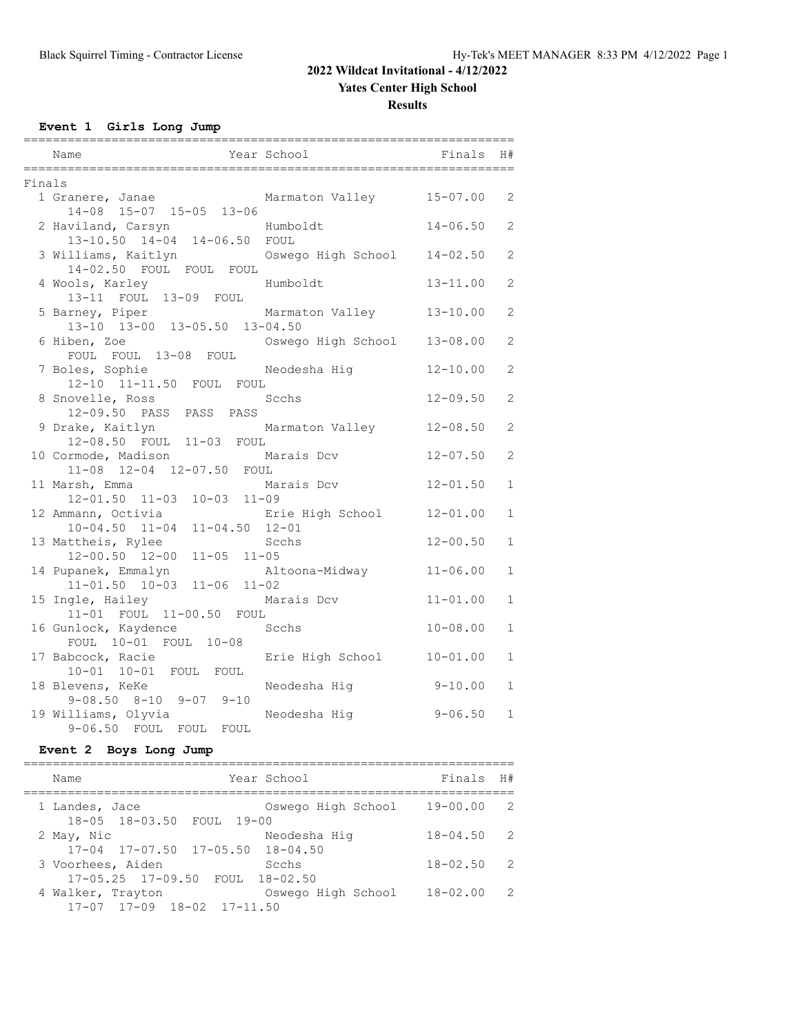### **Yates Center High School**

**Results**

**Event 1 Girls Long Jump**

|        | Name                                                                   | Year School        | Finals       | H#             |
|--------|------------------------------------------------------------------------|--------------------|--------------|----------------|
| Finals |                                                                        |                    |              |                |
|        | 1 Granere, Janae<br>14-08 15-07 15-05 13-06                            | Marmaton Valley    | 15-07.00     | 2              |
|        | 2 Haviland, Carsyn<br>13-10.50 14-04 14-06.50 FOUL                     | Humboldt           | 14-06.50     | $\overline{c}$ |
|        | 3 Williams, Kaitlyn<br>14-02.50 FOUL FOUL FOUL                         | Oswego High School | $14 - 02.50$ | 2              |
|        | 4 Wools, Karley<br>13-11 FOUL 13-09 FOUL                               | Humboldt           | $13 - 11.00$ | $\overline{2}$ |
|        | 5 Barney, Piper<br>13-10 13-00 13-05.50 13-04.50                       | Marmaton Valley    | $13 - 10.00$ | 2              |
|        | 6 Hiben, Zoe<br>FOUL FOUL 13-08 FOUL                                   | Oswego High School | $13 - 08.00$ | $\overline{2}$ |
|        | 7 Boles, Sophie<br>12-10 11-11.50 FOUL FOUL                            | Neodesha Hig       | $12 - 10.00$ | $\mathfrak{L}$ |
|        | 8 Snovelle, Ross<br>12-09.50 PASS PASS PASS                            | Scchs              | $12 - 09.50$ | 2              |
|        | 9 Drake, Kaitlyn<br>12-08.50 FOUL 11-03 FOUL                           | Marmaton Valley    | $12 - 08.50$ | $\mathbf{2}$   |
|        | 10 Cormode, Madison<br>11-08 12-04 12-07.50 FOUL                       | Marais Dcv         | $12 - 07.50$ | $\overline{2}$ |
|        | 11 Marsh, Emma<br>12-01.50 11-03 10-03 11-09                           | Marais Dcv         | $12 - 01.50$ | $\mathbf{1}$   |
|        | 12 Ammann, Octivia<br>$10 - 04.50$ $11 - 04$<br>$11 - 04.50$ $12 - 01$ | Erie High School   | $12 - 01.00$ | $\mathbf{1}$   |
|        | 13 Mattheis, Rylee<br>$11 - 05$ $11 - 05$<br>$12 - 00.50$ $12 - 00$    | Scchs              | $12 - 00.50$ | $\mathbf{1}$   |
|        | 14 Pupanek, Emmalyn<br>$11-01.50$ $10-03$ $11-06$ $11-02$              | Altoona-Midway     | $11 - 06.00$ | 1              |
|        | 15 Ingle, Hailey<br>11-01 FOUL 11-00.50 FOUL                           | Marais Dcv         | $11 - 01.00$ | $\mathbf{1}$   |
|        | 16 Gunlock, Kaydence<br>FOUL 10-01 FOUL 10-08                          | Scchs              | $10 - 08.00$ | $\mathbf{1}$   |
|        | 17 Babcock, Racie<br>10-01 10-01 FOUL FOUL                             | Erie High School   | $10 - 01.00$ | 1              |
|        | 18 Blevens, KeKe<br>$9-08.50$ $8-10$ $9-07$ $9-10$                     | Neodesha Hig       | $9 - 10.00$  | $\mathbf{1}$   |
|        | 19 Williams, Olyvia<br>9-06.50 FOUL FOUL<br>FOUL                       | Neodesha Hiq       | $9 - 06.50$  | $\mathbf{1}$   |

### **Event 2 Boys Long Jump**

| Name                                                   | Year School        | Finals       | H#            |
|--------------------------------------------------------|--------------------|--------------|---------------|
| 1 Landes, Jace<br>18-05 18-03.50 FOUL 19-00            | Oswego High School | $19 - 00.00$ | 2             |
| 2 May, Nic<br>$17-04$ $17-07.50$ $17-05.50$ $18-04.50$ | Neodesha Hig       | $18 - 04.50$ | $\mathcal{P}$ |
| 3 Voorhees, Aiden<br>17-05.25 17-09.50 FOUL 18-02.50   | Scchs              | $18 - 02.50$ | $\mathcal{P}$ |
| 4 Walker, Trayton<br>17-07 17-09 18-02 17-11.50        | Oswego High School | $18 - 02.00$ | -2            |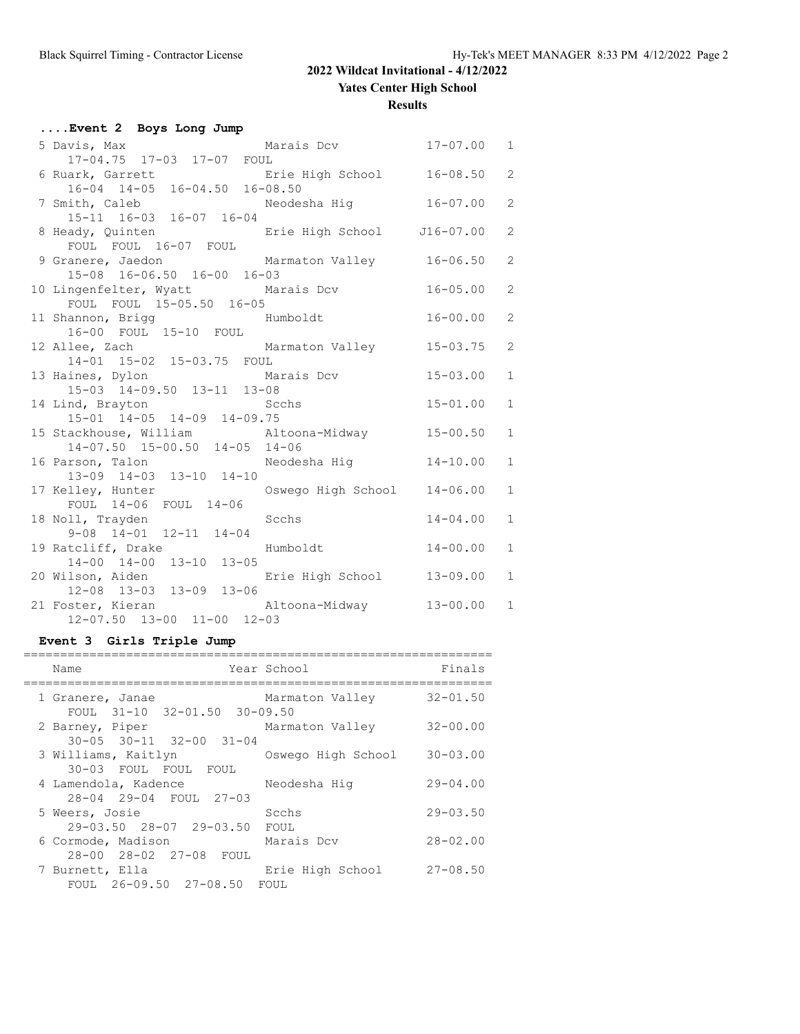**Yates Center High School**

**Results**

| Event 2 Boys Long Jump                                                      |                             |              |                |
|-----------------------------------------------------------------------------|-----------------------------|--------------|----------------|
| 5 Davis, Max                                                                | Marais Dcv 17-07.00         |              | $\mathbf{1}$   |
| 17-04.75 17-03 17-07 FOUL                                                   |                             |              |                |
| 6 Ruark, Garrett Erie High School 16-08.50<br>16-04 14-05 16-04.50 16-08.50 |                             |              | $\overline{2}$ |
|                                                                             |                             |              |                |
| 7 Smith, Caleb Meodesha Hig 16-07.00<br>15-11 16-03 16-07 16-04             |                             |              | $\overline{2}$ |
|                                                                             |                             |              |                |
| 8 Heady, Quinten The Erie High School J16-07.00                             |                             |              | $\overline{2}$ |
| FOUL FOUL 16-07 FOUL<br>9 Granere, Jaedon Marmaton Valley 16-06.50          |                             |              | $\overline{2}$ |
| 15-08 16-06.50 16-00 16-03                                                  |                             |              |                |
| 10 Lingenfelter, Wyatt Marais Dcv 16-05.00                                  |                             |              | $\overline{2}$ |
| FOUL FOUL 15-05.50 16-05                                                    |                             |              |                |
| 11 Shannon, Brigg                                                           | $16 - 00.00$<br>Humboldt    |              | $\overline{2}$ |
| 16-00 FOUL 15-10 FOUL                                                       |                             |              |                |
|                                                                             |                             |              | $\overline{2}$ |
| 12 Allee, Zach Marmaton Valley 15-03.75<br>14-01 15-02 15-03.75 FOUL        |                             |              |                |
| 13 Haines, Dylon Marais Dcv<br>15-03 14-09.50 13-11 13-08                   |                             | $15 - 03.00$ | $\mathbf{1}$   |
|                                                                             |                             |              |                |
| 14 Lind, Brayton Scchs                                                      |                             | $15 - 01.00$ | $\mathbf{1}$   |
| 15-01 14-05 14-09 14-09.75                                                  |                             |              |                |
| 15 Stackhouse, William altoona-Midway 15-00.50                              |                             |              | $\mathbf{1}$   |
| $14-07.50$ $15-00.50$ $14-05$ $14-06$                                       |                             |              |                |
| 16 Parson, Talon Meodesha Hig 14-10.00                                      |                             |              | $\mathbf{1}$   |
| 13-09 14-03 13-10 14-10<br>17 Kelley, Hunter                                | Oswego High School 14-06.00 |              | $\mathbf{1}$   |
| FOUL 14-06 FOUL 14-06                                                       |                             |              |                |
| 18 Noll, Trayden                                                            | Scchs                       | $14 - 04.00$ | $\mathbf{1}$   |
| $9-08$ $14-01$ $12-11$ $14-04$                                              |                             |              |                |
| 19 Ratcliff, Drake                                                          | Humboldt 14-00.00           |              | $\mathbf{1}$   |
| 14-00 14-00 13-10 13-05                                                     |                             |              |                |
| 20 Wilson, Aiden<br>12-08 13-03 13-09 13-06<br>13-06                        |                             |              | $\mathbf{1}$   |
|                                                                             |                             |              |                |
| 21 Foster, Kieran Mitoona-Midway 13-00.00<br>12-07.50 13-00 11-00 12-03     |                             |              | $\mathbf{1}$   |
|                                                                             |                             |              |                |

#### **Event 3 Girls Triple Jump**

| Name                                                       | Year School        | Finals       |
|------------------------------------------------------------|--------------------|--------------|
| 1 Granere, Janae<br>FOUL 31-10 32-01.50 30-09.50           | Marmaton Valley    | $32 - 01.50$ |
| 2 Barney, Piper<br>$30 - 05$ $30 - 11$ $32 - 00$ $31 - 04$ | Marmaton Valley    | $32 - 00.00$ |
| 3 Williams, Kaitlyn<br>30-03 FOUL FOUL FOUL                | Oswego High School | $30 - 03.00$ |
| 4 Lamendola, Kadence<br>28-04 29-04 FOUL 27-03             | Neodesha Hiq       | $29 - 04.00$ |
| 5 Weers, Josie<br>$29 - 03.50$ $28 - 07$ $29 - 03.50$      | Scchs<br>FOUL      | $29 - 03.50$ |
| 6 Cormode, Madison<br>28-00 28-02 27-08 FOUL               | Marais Dcv         | $28 - 02.00$ |
| 7 Burnett, Ella<br>FOUL 26-09.50 27-08.50 FOUL             | Erie High School   | $27 - 08.50$ |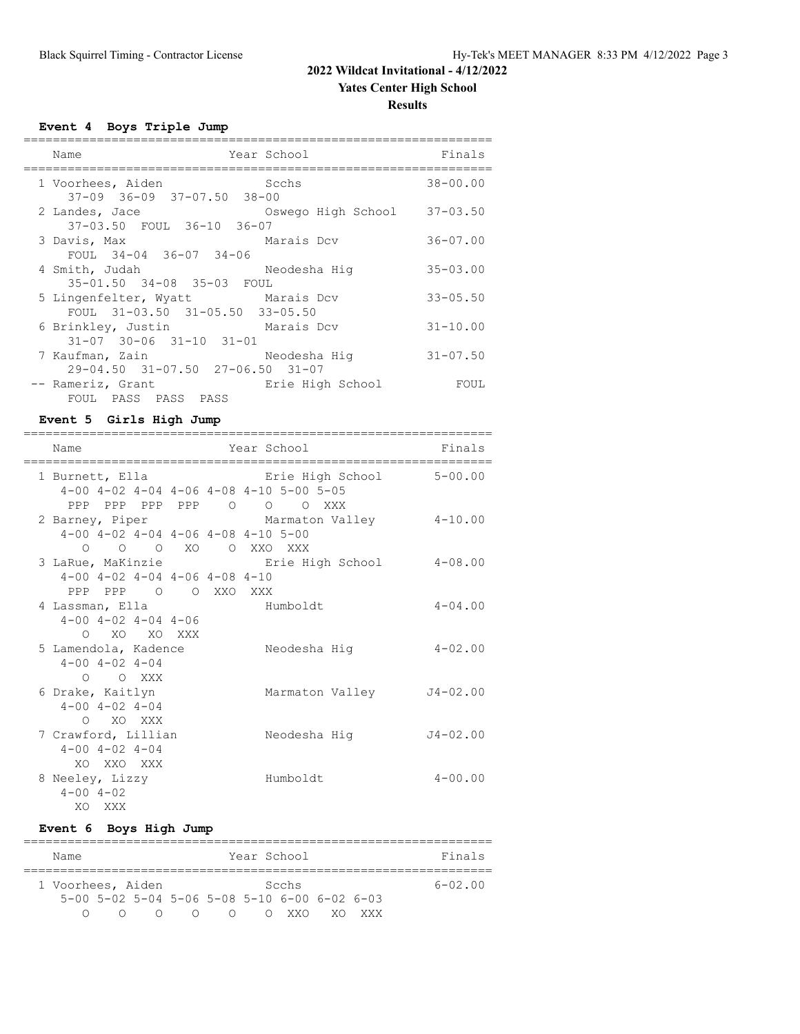# **Results**

**Event 4 Boys Triple Jump**

| Name                                                     | Year School        | Finals       |
|----------------------------------------------------------|--------------------|--------------|
| 1 Voorhees, Aiden<br>$37-09$ $36-09$ $37-07.50$ $38-00$  | Scchs              | $38 - 00.00$ |
| 2 Landes, Jace<br>37-03.50 FOUL 36-10 36-07              | Oswego High School | $37 - 03.50$ |
| 3 Davis, Max<br>FOUL 34-04 36-07 34-06                   | Marais Dcv         | $36 - 07.00$ |
| 4 Smith, Judah<br>35-01.50 34-08 35-03 FOUL              | Neodesha Hiq       | $35 - 03.00$ |
| 5 Lingenfelter, Wyatt<br>FOUL 31-03.50 31-05.50 33-05.50 | Marais Dcv         | $33 - 05.50$ |
| 6 Brinkley, Justin<br>$31-07$ $30-06$ $31-10$ $31-01$    | Marais Dcv         | $31 - 10.00$ |
| 7 Kaufman, Zain<br>29-04.50 31-07.50 27-06.50 31-07      | Neodesha Hig       | $31 - 07.50$ |
| -- Rameriz, Grant<br>FOUL PASS PASS PASS                 | Erie High School   | FOUL         |

#### **Event 5 Girls High Jump**

| Name                                                                   |  | Year School                                                          | Finals       |
|------------------------------------------------------------------------|--|----------------------------------------------------------------------|--------------|
| 1 Burnett, Ella                                                        |  | Erie High School 5-00.00<br>4-00 4-02 4-04 4-06 4-08 4-10 5-00 5-05  |              |
| $4-00$ $4-02$ $4-04$ $4-06$ $4-08$ $4-10$ $5-00$<br>0 0 0 XO 0 XXO XXX |  | PPP PPP PPP PPP 0 0 0 XXX<br>2 Barney, Piper         Marmaton Valley | $4 - 10.00$  |
| $4-00$ $4-02$ $4-04$ $4-06$ $4-08$ $4-10$<br>PPP PPP 0 0 XXO XXX       |  | 3 LaRue, MaKinzie <b>Example Exite</b> High School                   | $4 - 08.00$  |
| 4 Lassman, Ella<br>$4 - 00$ $4 - 02$ $4 - 04$ $4 - 06$<br>O XO XO XXX  |  | Humboldt                                                             | $4 - 04.00$  |
| 5 Lamendola, Kadence<br>$4 - 00$ $4 - 02$ $4 - 04$<br>$O$ $O$ XXX      |  | Neodesha Hiq                                                         | $4 - 02.00$  |
| 6 Drake, Kaitlyn<br>$4 - 00$ $4 - 02$ $4 - 04$<br>O XO XXX             |  | Marmaton Valley                                                      | J4-02.00     |
| 7 Crawford, Lillian<br>$4 - 00$ $4 - 02$ $4 - 04$<br>XO XXO XXX        |  | Neodesha Hiq                                                         | $J4 - 02.00$ |
| 8 Neeley, Lizzy<br>$4 - 00$ $4 - 02$<br>XO XXX                         |  | Humboldt                                                             | $4 - 00.00$  |

#### **Event 6 Boys High Jump**

| Name              |  |  |                 |           |           |  | Year School                                                    |  |        | Finals      |
|-------------------|--|--|-----------------|-----------|-----------|--|----------------------------------------------------------------|--|--------|-------------|
|                   |  |  |                 |           |           |  |                                                                |  |        |             |
| 1 Voorhees, Aiden |  |  |                 |           |           |  | Scehs                                                          |  |        | $6 - 02.00$ |
|                   |  |  |                 |           |           |  | $5-00$ $5-02$ $5-04$ $5-06$ $5-08$ $5-10$ $6-00$ $6-02$ $6-03$ |  |        |             |
|                   |  |  | $\left(\right)$ | $\bigcap$ | $\bigcap$ |  | O XXO                                                          |  | XV XXX |             |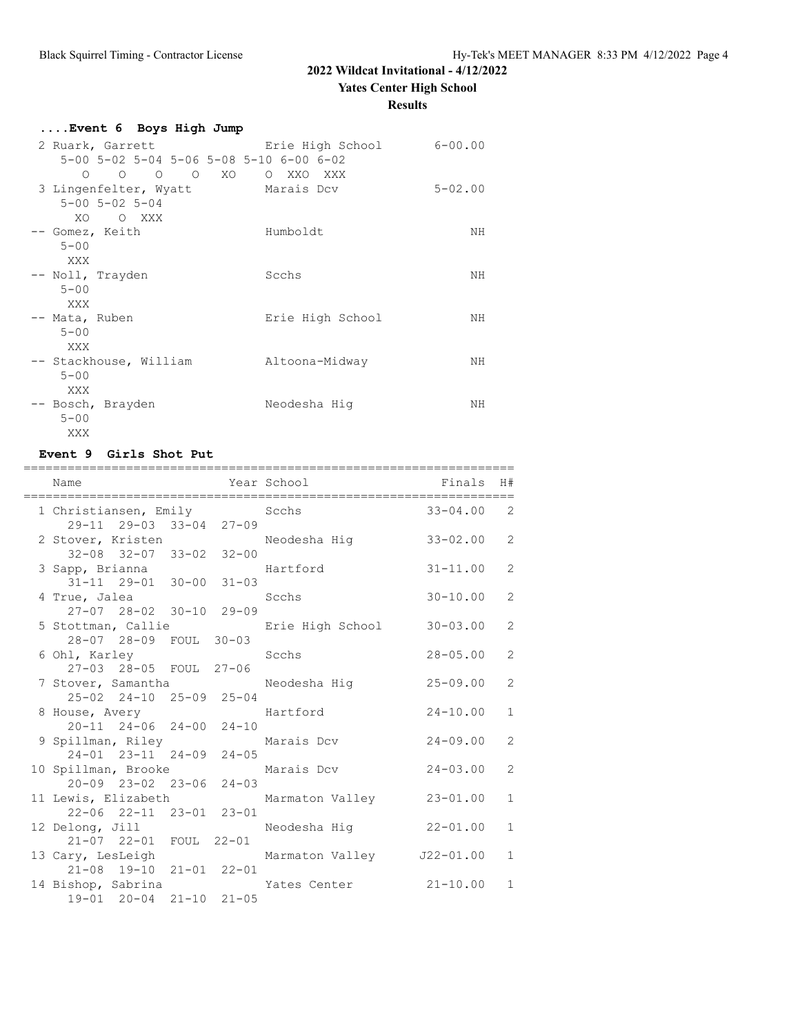#### **Results**

| Event 6 Boys High Jump                                                           |                  |             |
|----------------------------------------------------------------------------------|------------------|-------------|
| 2 Ruark, Garrett and Erie High School<br>5-00 5-02 5-04 5-06 5-08 5-10 6-00 6-02 |                  | $6 - 00.00$ |
| 0 0 0 0 XO 0 XXO XXX                                                             |                  |             |
| 3 Lingenfelter, Wyatt Marais Dcv<br>$5 - 00$ $5 - 02$ $5 - 04$                   |                  | $5 - 02.00$ |
| XO.<br>O XXX<br>-- Gomez, Keith<br>$5 - 00$                                      | Humboldt         | ΝH          |
| XXX<br>-- Noll, Trayden<br>$5 - 00$<br>XXX                                       | Scchs            | NΗ          |
| -- Mata, Ruben<br>$5 - 00$<br>XXX                                                | Erie High School | NΗ          |
| -- Stackhouse, William<br>$5 - 00$<br>XXX                                        | Altoona-Midway   | ΝH          |
| -- Bosch, Brayden<br>$5 - 00$<br>XXX                                             | Neodesha Hiq     | ΝH          |

#### **Event 9 Girls Shot Put**

| Name                                                                                    | =========== |              | Year School                             | =========================<br>Finals | H#             |
|-----------------------------------------------------------------------------------------|-------------|--------------|-----------------------------------------|-------------------------------------|----------------|
| 1 Christiansen, Emily<br>29-11 29-03 33-04 27-09                                        |             |              | Scchs                                   | $33 - 04.00$                        | 2              |
| $32 - 08$ $32 - 07$ $33 - 02$ $32 - 00$                                                 |             |              | 2 Stover, Kristen Meodesha Hig 33-02.00 |                                     | $\overline{2}$ |
| 3 Sapp, Brianna<br>$31 - 11$ $29 - 01$ $30 - 00$                                        |             | $31 - 03$    | Hartford                                | $31 - 11.00$                        | $\overline{2}$ |
| 4 True, Jalea<br>27-07 28-02 30-10 29-09                                                |             |              | Scchs                                   | $30 - 10.00$                        | 2              |
| 5 Stottman, Callie<br>28-07 28-09 FOUL 30-03                                            |             |              | Erie High School                        | $30 - 03.00$                        | $\overline{2}$ |
| 6 Ohl, Karley<br>27-03 28-05 FOUL 27-06                                                 |             | <b>Sechs</b> |                                         | $28 - 05.00$                        | $\overline{2}$ |
| 7 Stover, Samantha<br>25-02 24-10 25-09 25-04                                           |             |              | Neodesha Hig                            | 25-09.00                            | $\overline{2}$ |
| 8 House, Avery Martford                                                                 |             |              |                                         | $24 - 10.00$                        | $\mathbf{1}$   |
| 20-11 24-06 24-00 24-10<br>9 Spillman, Riley<br>$24 - 01$ $23 - 11$ $24 - 09$ $24 - 05$ |             |              | Marais Dcv                              | 24-09.00                            | $\overline{2}$ |
| 10 Spillman, Brooke                                                                     |             |              | Marais Dcv                              | $24 - 03.00$                        | $\mathcal{L}$  |
| $20 - 09$ $23 - 02$ $23 - 06$<br>11 Lewis, Elizabeth                                    |             | $24 - 03$    | Marmaton Valley 23-01.00                |                                     | $\mathbf{1}$   |
| 22-06 22-11 23-01 23-01<br>12 Delong, Jill                                              |             |              | Neodesha Hiq                            | $22 - 01.00$                        | $\mathbf{1}$   |
| 21-07 22-01 FOUL 22-01<br>13 Cary, LesLeigh                                             |             |              | Marmaton Valley J22-01.00               |                                     | $\mathbf{1}$   |
| 21-08 19-10 21-01 22-01<br>14 Bishop, Sabrina<br>19-01 20-04 21-10 21-05                |             |              | Yates Center 21-10.00                   |                                     | $\mathbf{1}$   |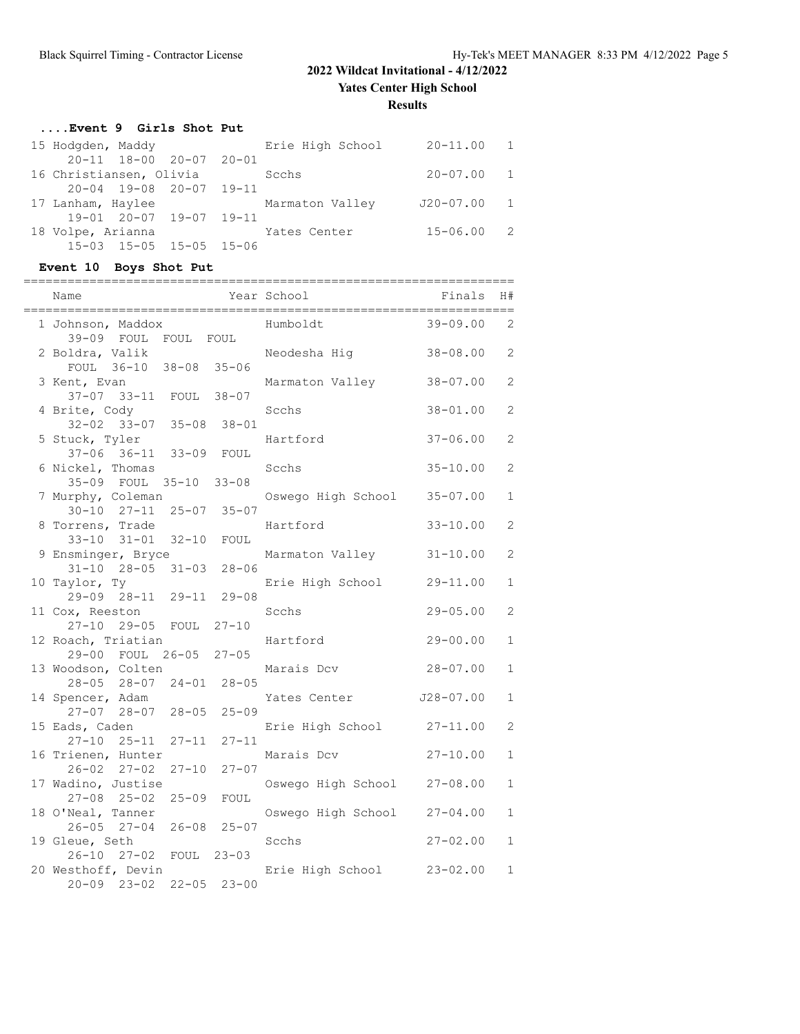**Yates Center High School**

**Results**

#### **....Event 9 Girls Shot Put**

| 15 Hodgden, Maddy       |                         | Erie High School | $20 - 11.00$ 1 |  |
|-------------------------|-------------------------|------------------|----------------|--|
|                         | 20-11 18-00 20-07 20-01 |                  |                |  |
| 16 Christiansen, Olivia |                         | Scchs            | $20 - 07.00$ 1 |  |
|                         | 20-04 19-08 20-07 19-11 |                  |                |  |
| 17 Lanham, Haylee       |                         | Marmaton Valley  | J20-07.00 1    |  |
|                         | 19-01 20-07 19-07 19-11 |                  |                |  |
| 18 Volpe, Arianna       |                         | Yates Center     | $15 - 06.00$ 2 |  |
|                         | 15-03 15-05 15-05 15-06 |                  |                |  |

### **Event 10 Boys Shot Put**

| Name<br>;=======================                       |           | Year School        | Finals        | H#             |
|--------------------------------------------------------|-----------|--------------------|---------------|----------------|
| 1 Johnson, Maddox<br>39-09 FOUL FOUL FOUL              |           | Humboldt           | $39 - 09.00$  | $\mathbf{2}$   |
| 2 Boldra, Valik<br>FOUL 36-10 38-08 35-06              |           | Neodesha Hiq       | $38 - 08.00$  | 2              |
| 3 Kent, Evan<br>37-07 33-11 FOUL 38-07                 |           | Marmaton Valley    | $38 - 07.00$  | $\overline{c}$ |
| 4 Brite, Cody<br>$32 - 02$ $33 - 07$ $35 - 08$         |           | Scchs              | $38 - 01.00$  | $\overline{c}$ |
| 5 Stuck, Tyler                                         | $38 - 01$ | Hartford           | $37 - 06.00$  | $\overline{c}$ |
| $37 - 06$ $36 - 11$ $33 - 09$<br>6 Nickel, Thomas      | FOUL      | Scchs              | $35 - 10.00$  | $\overline{c}$ |
| 35-09 FOUL 35-10<br>7 Murphy, Coleman                  | $33 - 08$ | Oswego High School | $35 - 07.00$  | $\mathbf{1}$   |
| $30 - 10$ $27 - 11$ $25 - 07$<br>8 Torrens, Trade      | $35 - 07$ | Hartford           | $33 - 10.00$  | $\mathbf{2}$   |
| 33-10 31-01 32-10<br>9 Ensminger, Bryce                | FOUL      | Marmaton Valley    | $31 - 10.00$  | $\overline{c}$ |
| $31 - 10$ $28 - 05$ $31 - 03$<br>10 Taylor, Ty         | $28 - 06$ | Erie High School   | $29 - 11.00$  | $\mathbf{1}$   |
| 29-09 28-11 29-11<br>11 Cox, Reeston                   | $29 - 08$ | Scchs              | $29 - 05.00$  | $\overline{c}$ |
| 27-10 29-05<br>FOUL<br>12 Roach, Triatian              | $27 - 10$ | Hartford           | $29 - 00.00$  | $\mathbf{1}$   |
| 29-00 FOUL 26-05<br>13 Woodson, Colten                 | $27 - 05$ | Marais Dcv         | $28 - 07.00$  | $\mathbf 1$    |
| 28-05 28-07 24-01<br>14 Spencer, Adam                  | $28 - 05$ | Yates Center       | $J28 - 07.00$ | $\mathbf{1}$   |
| 27-07 28-07<br>$28 - 05$<br>15 Eads, Caden             | $25 - 09$ | Erie High School   | $27 - 11.00$  | 2              |
| 27-10 25-11<br>$27 - 11$<br>16 Trienen, Hunter         | $27 - 11$ | Marais Dcv         | $27 - 10.00$  | $\mathbf{1}$   |
| $26 - 02$ $27 - 02$<br>$27 - 10$<br>17 Wadino, Justise | $27 - 07$ | Oswego High School | $27 - 08.00$  | $\mathbf 1$    |
| $27 - 08$ $25 - 02$<br>$25 - 09$<br>18 O'Neal, Tanner  | FOUL      | Oswego High School | $27 - 04.00$  | $\mathbf{1}$   |
| 26-05 27-04<br>$26 - 08$<br>19 Gleue, Seth             | $25 - 07$ | Scchs              | $27 - 02.00$  | $\mathbf{1}$   |
| 26-10 27-02<br>FOUL<br>20 Westhoff, Devin              | $23 - 03$ | Erie High School   | $23 - 02.00$  | $\mathbf{1}$   |
| $20 - 09$ $23 - 02$<br>$22 - 05$                       | $23 - 00$ |                    |               |                |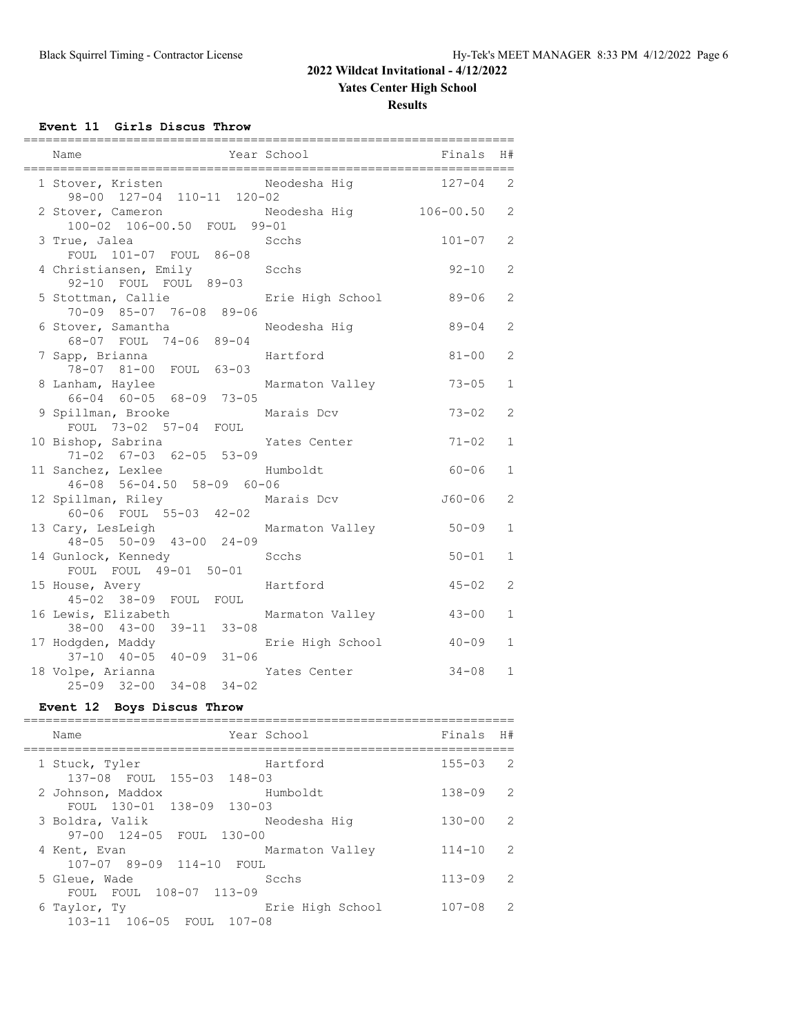#### **Yates Center High School**

**Results**

**Event 11 Girls Discus Throw**

| Name<br>Year School                                                 |                  | Finals     | H#             |
|---------------------------------------------------------------------|------------------|------------|----------------|
| 1 Stover, Kristen Meodesha Hig 127-04<br>98-00 127-04 110-11 120-02 |                  |            | 2              |
| 2 Stover, Cameron<br>100-02 106-00.50 FOUL 99-01                    | Neodesha Hiq     | 106-00.50  | 2              |
| 3 True, Jalea<br>FOUL 101-07 FOUL 86-08                             | Scchs            | $101 - 07$ | $\overline{2}$ |
| 4 Christiansen, Emily<br>92-10 FOUL FOUL 89-03                      | Scchs            | $92 - 10$  | $\mathbf{2}$   |
| 5 Stottman, Callie<br>70-09 85-07 76-08 89-06                       | Erie High School | 89-06      | 2              |
| 6 Stover, Samantha<br>68-07 FOUL 74-06 89-04                        | Neodesha Hiq     | 89-04      | 2              |
| 7 Sapp, Brianna<br>78-07 81-00 FOUL 63-03                           | Hartford         | $81 - 00$  | $\mathbf{2}$   |
| 8 Lanham, Haylee<br>66-04 60-05 68-09 73-05                         | Marmaton Valley  | $73 - 05$  | $\mathbf{1}$   |
| 9 Spillman, Brooke<br>FOUL 73-02 57-04 FOUL                         | Marais Dcv       | $73 - 02$  | $\overline{2}$ |
| 10 Bishop, Sabrina<br>71-02 67-03 62-05 53-09                       | Yates Center     | $71 - 02$  | $\mathbf{1}$   |
| 11 Sanchez, Lexlee<br>46-08 56-04.50 58-09 60-06                    | Humboldt         | $60 - 06$  | $\mathbf{1}$   |
| 12 Spillman, Riley<br>60-06 FOUL 55-03 42-02                        | Marais Dcv       | $J60 - 06$ | $\overline{2}$ |
| 13 Cary, LesLeigh<br>48-05 50-09 43-00 24-09                        | Marmaton Valley  | $50 - 09$  | $\mathbf{1}$   |
| 14 Gunlock, Kennedy<br>FOUL FOUL 49-01 50-01                        | Scchs            | $50 - 01$  | $\mathbf{1}$   |
| 15 House, Avery<br>45-02 38-09 FOUL FOUL                            | Hartford         | $45 - 02$  | $\overline{2}$ |
| 16 Lewis, Elizabeth<br>$38 - 00$ $43 - 00$ $39 - 11$ $33 - 08$      | Marmaton Valley  | $43 - 00$  | 1              |
| 17 Hodgden, Maddy<br>$37-10$ $40-05$ $40-09$ $31-06$                | Erie High School | $40 - 09$  | $\mathbf{1}$   |
| 18 Volpe, Arianna<br>25-09 32-00 34-08 34-02                        | Yates Center     | $34 - 08$  | $\mathbf{1}$   |

### **Event 12 Boys Discus Throw**

| Year School<br>Name                              |                  | Finals<br>H#                |
|--------------------------------------------------|------------------|-----------------------------|
| 1 Stuck, Tyler<br>137-08 FOUL 155-03 148-03      | Hartford         | $155 - 03$<br>2             |
| 2 Johnson, Maddox                                | Humboldt         | $138 - 09$<br>$\mathcal{L}$ |
| FOUL 130-01 138-09 130-03<br>3 Boldra, Valik     | Neodesha Hiq     | $\mathcal{L}$<br>$130 - 00$ |
| 97-00 124-05 FOUL 130-00<br>4 Kent, Evan         | Marmaton Valley  | $\mathcal{L}$<br>$114 - 10$ |
| $107 - 07$ 89-09 114-10<br>FOUL<br>5 Gleue, Wade | Scchs            | $113 - 09$<br>$\mathcal{L}$ |
| FOUL FOUL 108-07 113-09                          |                  |                             |
| 6 Taylor, Ty<br>103-11 106-05 FOUL 107-08        | Erie High School | $107 - 08$<br>$\mathcal{L}$ |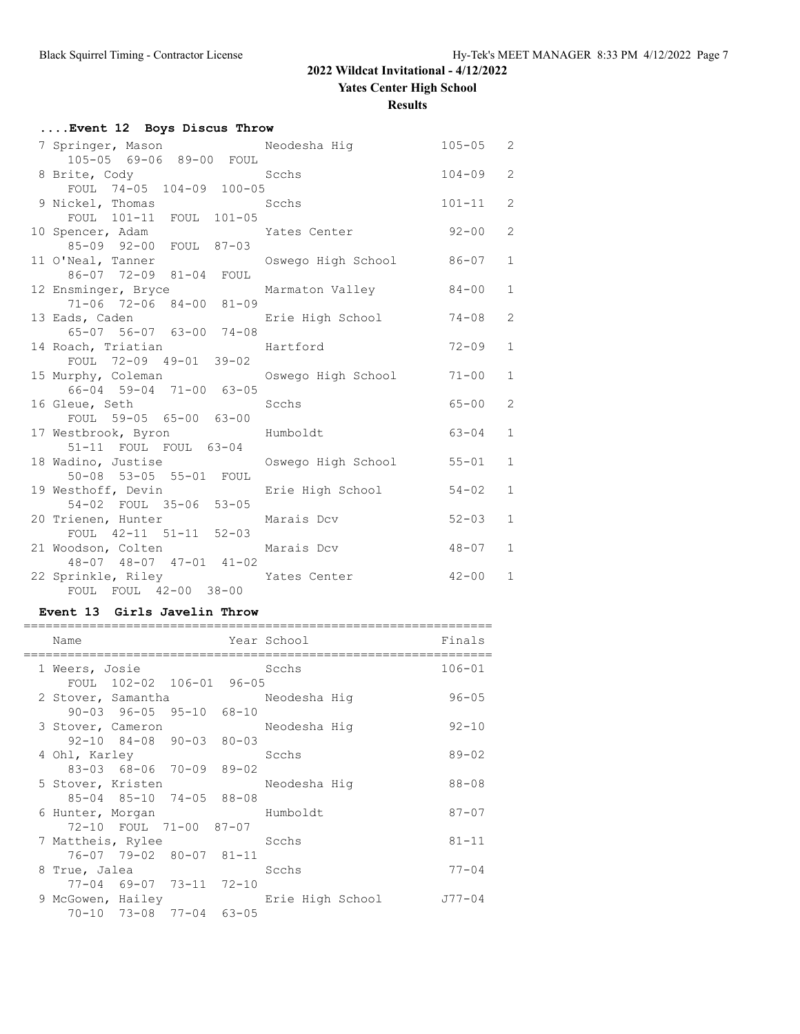**Yates Center High School**

**Results**

| Event 12 Boys Discus Throw                            |                  |            |                |  |  |
|-------------------------------------------------------|------------------|------------|----------------|--|--|
| 7 Springer, Mason Meodesha Hig 3105-05 2              |                  |            |                |  |  |
| 105-05 69-06 89-00 FOUL                               |                  |            |                |  |  |
| 8 Brite, Cody                                         | Scchs            | $104 - 09$ | 2              |  |  |
| FOUL 74-05 104-09 100-05<br>Scchs                     |                  | $101 - 11$ | $\overline{2}$ |  |  |
| 9 Nickel, Thomas<br>FOUL 101-11 FOUL 101-05           |                  |            |                |  |  |
| 10 Spencer, Adam Mates Center                         |                  | $92 - 00$  | $\overline{2}$ |  |  |
| 85-09 92-00 FOUL 87-03                                |                  |            |                |  |  |
| 11 O'Neal, Tanner             Oswego High School      |                  | 86-07      | $\mathbf{1}$   |  |  |
| 86-07 72-09 81-04 FOUL                                |                  |            |                |  |  |
| 12 Ensminger, Bryce Marmaton Valley                   |                  | 84-00      | $\mathbf{1}$   |  |  |
| 71-06 72-06 84-00 81-09                               |                  |            |                |  |  |
| 13 Eads, Caden                                        | Erie High School | 74-08      | 2              |  |  |
| 65-07 56-07 63-00 74-08                               |                  |            |                |  |  |
| 14 Roach, Triatian Hartford<br>FOUL 72-09 49-01 39-02 |                  | $72 - 09$  | $\mathbf{1}$   |  |  |
|                                                       |                  |            |                |  |  |
| 15 Murphy, Coleman Coswego High School                |                  | $71 - 00$  | $\mathbf{1}$   |  |  |
| 66-04 59-04 71-00 63-05                               |                  |            | $\overline{2}$ |  |  |
| 16 Gleue, Seth<br>Scchs                               |                  | $65 - 00$  |                |  |  |
| FOUL 59-05 65-00 63-00<br>17 Westbrook, Byron         | Humboldt         | 63-04      | $\mathbf{1}$   |  |  |
| 51-11 FOUL FOUL 63-04                                 |                  |            |                |  |  |
| 18 Wadino, Justise Cowego High School                 |                  | $55 - 01$  | $\mathbf{1}$   |  |  |
| 50-08 53-05 55-01 FOUL                                |                  |            |                |  |  |
| 19 Westhoff, Devin                                    | Erie High School | $54 - 02$  | $\mathbf{1}$   |  |  |
| 54-02 FOUL 35-06 53-05                                |                  |            |                |  |  |
| 20 Trienen, Hunter                                    | Marais Dcv       | $52 - 03$  | $\mathbf{1}$   |  |  |
| FOUL 42-11 51-11 52-03                                |                  |            |                |  |  |
| 21 Woodson, Colten                                    | Marais Dcv       | $48 - 07$  | $\mathbf{1}$   |  |  |
| $48-07$ $48-07$ $47-01$ $41-02$                       |                  |            |                |  |  |
| 22 Sprinkle, Riley Mates Center                       |                  | $42 - 00$  | $\mathbf{1}$   |  |  |
| FOUL FOUL 42-00 38-00                                 |                  |            |                |  |  |

#### **Event 13 Girls Javelin Throw**

| Name               |                                         | Year School      | Finals     |
|--------------------|-----------------------------------------|------------------|------------|
| 1 Weers, Josie     |                                         | Scchs            | $106 - 01$ |
|                    | FOUL 102-02 106-01 96-05                |                  |            |
| 2 Stover, Samantha |                                         | Neodesha Hiq     | $96 - 05$  |
|                    | $90-03$ $96-05$ $95-10$ $68-10$         |                  |            |
| 3 Stover, Cameron  |                                         | Neodesha Hiq     | $92 - 10$  |
|                    | $92 - 10$ $84 - 08$ $90 - 03$ $80 - 03$ |                  |            |
| 4 Ohl, Karley      |                                         | Scchs            | $89 - 02$  |
|                    | 83-03 68-06 70-09 89-02                 |                  |            |
| 5 Stover, Kristen  |                                         | Neodesha Hig     | $88 - 08$  |
|                    | 85-04 85-10 74-05 88-08                 |                  |            |
| 6 Hunter, Morgan   |                                         | Humboldt         | $87 - 07$  |
|                    | 72-10 FOUL 71-00 87-07                  |                  |            |
| 7 Mattheis, Rylee  |                                         | Scchs            | $81 - 11$  |
|                    | 76-07 79-02 80-07 81-11                 |                  |            |
| 8 True, Jalea      |                                         | Scchs            | $77 - 04$  |
|                    | 77-04 69-07 73-11 72-10                 |                  |            |
| 9 McGowen, Hailey  |                                         | Erie High School | J77-04     |
|                    | 70-10 73-08 77-04 63-05                 |                  |            |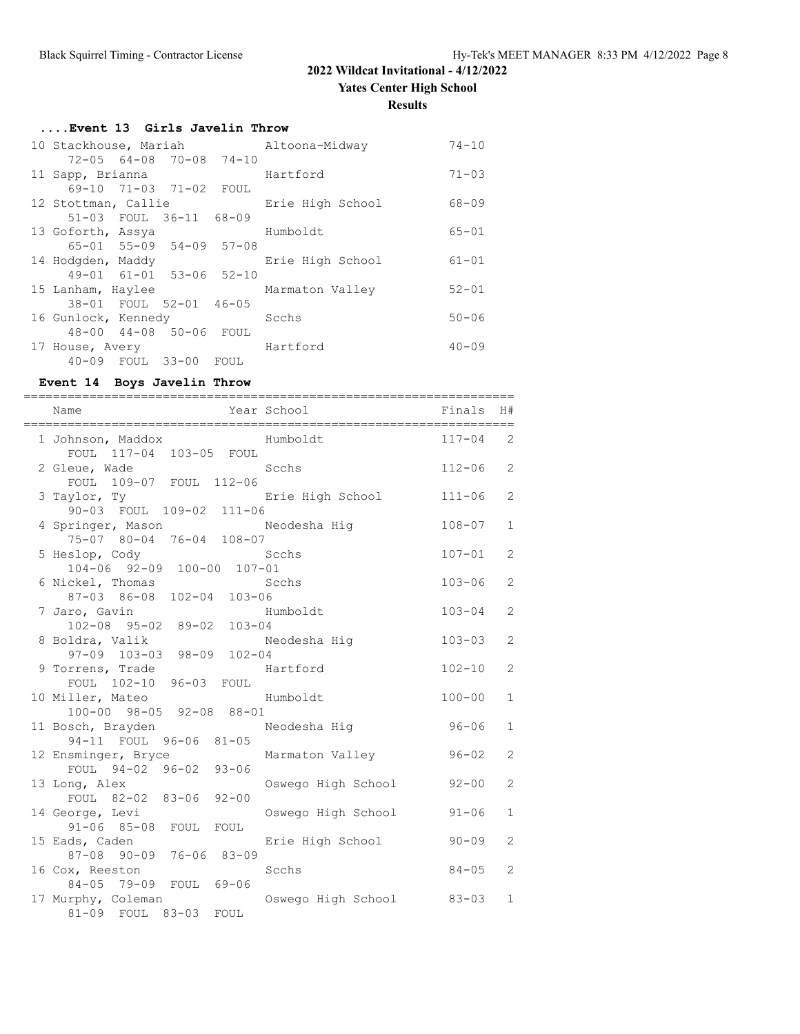#### **Results**

| Event 13 Girls Javelin Throw |  |                                         |      |                  |           |
|------------------------------|--|-----------------------------------------|------|------------------|-----------|
| 10 Stackhouse, Mariah        |  |                                         |      | Altoona-Midway   | $74 - 10$ |
|                              |  | $72 - 05$ 64-08 70-08 74-10             |      |                  |           |
| 11 Sapp, Brianna             |  |                                         |      | Hartford         | $71 - 03$ |
|                              |  | 69-10 71-03 71-02 FOUL                  |      |                  |           |
| 12 Stottman, Callie          |  |                                         |      | Erie High School | $68 - 09$ |
|                              |  | 51-03 FOUL 36-11 68-09                  |      |                  |           |
| 13 Goforth, Assya            |  |                                         |      | Humboldt         | $65 - 01$ |
|                              |  | $65 - 01$ $55 - 09$ $54 - 09$ $57 - 08$ |      |                  |           |
| 14 Hodgden, Maddy            |  |                                         |      | Erie High School | $61 - 01$ |
|                              |  | 49-01 61-01 53-06 52-10                 |      |                  |           |
| 15 Lanham, Haylee            |  |                                         |      | Marmaton Valley  | $52 - 01$ |
|                              |  | 38-01 FOUL 52-01 46-05                  |      |                  |           |
| 16 Gunlock, Kennedy          |  |                                         |      | Scchs            | $50 - 06$ |
|                              |  | 48-00 44-08 50-06 FOUL                  |      |                  |           |
| 17 House, Avery              |  |                                         |      | Hartford         | $40 - 09$ |
| 40-09 FOUL 33-00             |  |                                         | FOUL |                  |           |

#### **Event 14 Boys Javelin Throw**

| Name<br>==================================         | Year School        | Finals     | H#             |
|----------------------------------------------------|--------------------|------------|----------------|
| 1 Johnson, Maddox<br>FOUL 117-04 103-05<br>FOUL    | Humboldt           | $117 - 04$ | 2              |
| 2 Gleue, Wade<br>FOUL 109-07 FOUL 112-06           | Scchs              | $112 - 06$ | 2              |
| 3 Taylor, Ty<br>90-03 FOUL 109-02 111-06           | Erie High School   | $111 - 06$ | 2              |
| 4 Springer, Mason<br>75-07 80-04 76-04 108-07      | Neodesha Hig       | $108 - 07$ | $\mathbf{1}$   |
| 5 Heslop, Cody                                     | Scchs              | $107 - 01$ | 2              |
| 104-06 92-09 100-00 107-01<br>6 Nickel, Thomas     | Scchs              | $103 - 06$ | 2              |
| 87-03 86-08 102-04 103-06<br>7 Jaro, Gavin         | Humboldt           | $103 - 04$ | $\overline{2}$ |
| 102-08 95-02 89-02 103-04<br>8 Boldra, Valik       | Neodesha Hig       | $103 - 03$ | 2              |
| 97-09 103-03 98-09 102-04<br>9 Torrens, Trade      | Hartford           | $102 - 10$ | 2              |
| FOUL 102-10 96-03 FOUL<br>10 Miller, Mateo         | Humboldt           | $100 - 00$ | $\mathbf{1}$   |
| 100-00 98-05 92-08 88-01<br>11 Bosch, Brayden      | Neodesha Hig       | $96 - 06$  | $\mathbf{1}$   |
| 94-11 FOUL 96-06 81-05<br>12 Ensminger, Bryce      | Marmaton Valley    | $96 - 02$  | $\overline{2}$ |
| FOUL 94-02 96-02 93-06<br>13 Long, Alex            | Oswego High School | $92 - 00$  | $\overline{2}$ |
| FOUL 82-02 83-06 92-00<br>14 George, Levi          | Oswego High School | $91 - 06$  | $\mathbf{1}$   |
| $91 - 06$ $85 - 08$<br>FOUL FOUL<br>15 Eads, Caden | Erie High School   | $90 - 09$  | 2              |
| $76 - 06$ 83-09<br>87-08 90-09<br>16 Cox, Reeston  | Scchs              | $84 - 05$  | 2              |
| 84-05 79-09<br>FOUL 69-06<br>17 Murphy, Coleman    | Oswego High School | $83 - 03$  | $\mathbf 1$    |
| 81-09 FOUL 83-03<br>FOUL                           |                    |            |                |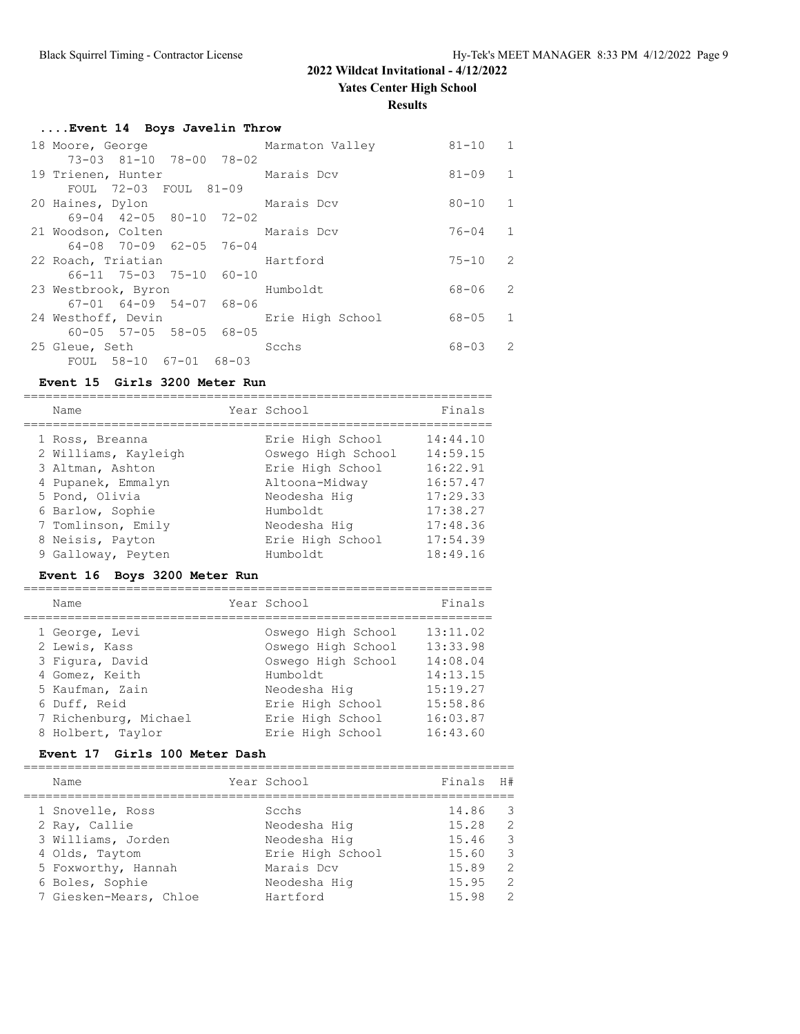**Yates Center High School**

**Results**

|  |  |  |  | Event 14 Boys Javelin Throw |  |
|--|--|--|--|-----------------------------|--|
|--|--|--|--|-----------------------------|--|

| 18 Moore, George                                              | Marmaton Valley  | $81 - 10$ | $\overline{1}$ |
|---------------------------------------------------------------|------------------|-----------|----------------|
| 73-03 81-10 78-00 78-02<br>19 Trienen, Hunter                 | Marais Dcv       | $81 - 09$ | 1              |
| FOUL 72-03 FOUL 81-09<br>20 Haines, Dylon                     | Marais Dcv       | $80 - 10$ | $\mathbf{1}$   |
| $69-04$ $42-05$ $80-10$ $72-02$<br>21 Woodson, Colten         | Marais Dcv       | 76-04     | 1              |
| 64-08 70-09 62-05 76-04<br>22 Roach, Triatian                 | Hartford         | $75 - 10$ | 2              |
| 66-11 75-03 75-10 60-10<br>23 Westbrook, Byron                | Humboldt         | 68-06     | -2.            |
| $67 - 01$ $64 - 09$ $54 - 07$ $68 - 06$<br>24 Westhoff, Devin | Erie High School | 68-05     | 1              |
| $60 - 05$ $57 - 05$ $58 - 05$ $68 - 05$<br>25 Gleue, Seth     | Scchs            | $68 - 03$ | $\mathcal{L}$  |
| FOUL 58-10 67-01 68-03                                        |                  |           |                |

#### **Event 15 Girls 3200 Meter Run**

|                                                                                                                                                                                                                                                                                                                                                      | Finals                                                                                                   |
|------------------------------------------------------------------------------------------------------------------------------------------------------------------------------------------------------------------------------------------------------------------------------------------------------------------------------------------------------|----------------------------------------------------------------------------------------------------------|
| Year School<br>Name                                                                                                                                                                                                                                                                                                                                  |                                                                                                          |
| Erie High School<br>1 Ross, Breanna<br>2 Williams, Kayleigh<br>Oswego High School<br>Erie High School<br>3 Altman, Ashton<br>Altoona-Midway<br>4 Pupanek, Emmalyn<br>5 Pond, Olivia<br>Neodesha Hiq<br>6 Barlow, Sophie<br>Humboldt.<br>7 Tomlinson, Emily<br>Neodesha Hiq<br>Erie High School<br>8 Neisis, Payton<br>Humboldt<br>9 Galloway, Peyten | 14:44.10<br>14:59.15<br>16:22.91<br>16:57.47<br>17:29.33<br>17:38.27<br>17:48.36<br>17:54.39<br>18:49.16 |

## **Event 16 Boys 3200 Meter Run**

| Name                            | Year School                              | Finals               |
|---------------------------------|------------------------------------------|----------------------|
| 1 George, Levi<br>2 Lewis, Kass | Oswego High School<br>Oswego High School | 13:11.02<br>13:33.98 |
| 3 Figura, David                 | Oswego High School                       | 14:08.04             |
| 4 Gomez, Keith                  | Humboldt                                 | 14:13.15             |
| 5 Kaufman, Zain                 | Neodesha Hig                             | 15:19.27             |
| 6 Duff, Reid                    | Erie High School                         | 15:58.86             |
| 7 Richenburg, Michael           | Erie High School                         | 16:03.87             |
| 8 Holbert, Taylor               | Erie High School                         | 16:43.60             |

### **Event 17 Girls 100 Meter Dash**

| Name                   | Year School      | Finals | H#                       |
|------------------------|------------------|--------|--------------------------|
| 1 Snovelle, Ross       | Scchs            | 14.86  | $\overline{\phantom{a}}$ |
| 2 Ray, Callie          | Neodesha Hiq     | 15.28  | 2                        |
| 3 Williams, Jorden     | Neodesha Hig     | 15.46  | $\overline{\mathbf{3}}$  |
| 4 Olds, Taytom         | Erie High School | 15.60  | $\mathbf{3}$             |
| 5 Foxworthy, Hannah    | Marais Dcv       | 15.89  | -2                       |
| 6 Boles, Sophie        | Neodesha Hiq     | 15.95  | $\overline{2}$           |
| 7 Giesken-Mears, Chloe | Hartford         | 15.98  | $\mathcal{L}$            |
|                        |                  |        |                          |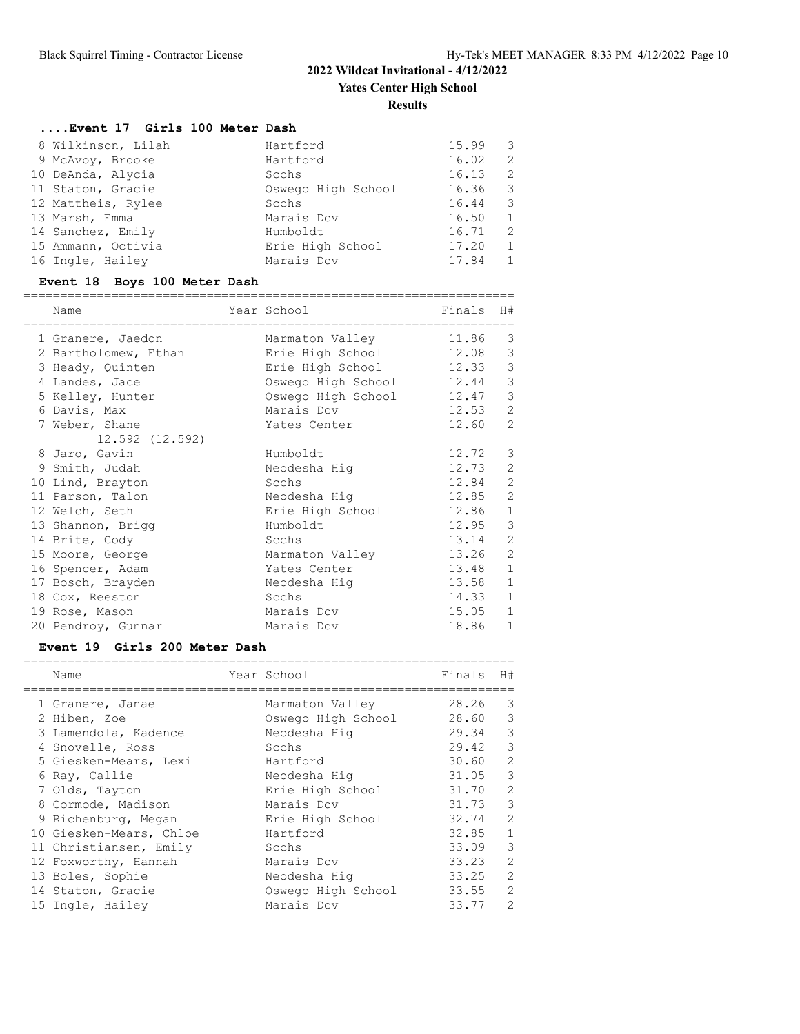### **....Event 17 Girls 100 Meter Dash**

| 8 Wilkinson, Lilah | Hartford           | 15.99 | 3  |
|--------------------|--------------------|-------|----|
| 9 McAvoy, Brooke   | Hartford           | 16.02 | -2 |
| 10 DeAnda, Alycia  | Scchs              | 16.13 | 2  |
| 11 Staton, Gracie  | Oswego High School | 16.36 | 3  |
| 12 Mattheis, Rylee | Scchs              | 16.44 | 3  |
| 13 Marsh, Emma     | Marais Dcv         | 16.50 | 1  |
| 14 Sanchez, Emily  | Humboldt           | 16.71 | 2  |
| 15 Ammann, Octivia | Erie High School   | 17.20 | 1  |
| 16 Ingle, Hailey   | Marais Dcv         | 17.84 | 1  |

# **Event 18 Boys 100 Meter Dash**

| Name<br>========================= | Year School<br>====================== | Finals | H#                          |
|-----------------------------------|---------------------------------------|--------|-----------------------------|
| 1 Granere, Jaedon                 | Marmaton Valley                       | 11.86  | 3                           |
| 2 Bartholomew, Ethan              | Erie High School                      | 12.08  | $\mathcal{S}$               |
| 3 Heady, Quinten                  | Erie High School                      | 12.33  | $\mathcal{S}_{\mathcal{S}}$ |
| 4 Landes, Jace                    | Oswego High School                    | 12.44  | $\mathcal{S}$               |
| 5 Kelley, Hunter                  | Oswego High School 12.47              |        | $\mathfrak{Z}$              |
| 6 Davis, Max                      | Marais Dcv                            | 12.53  | $\mathbf{2}$                |
| 7 Weber, Shane                    | Yates Center                          | 12.60  | 2                           |
| 12.592 (12.592)                   |                                       |        |                             |
| 8 Jaro, Gavin                     | Humboldt                              | 12.72  | 3                           |
| 9 Smith, Judah                    | Neodesha Hiq                          | 12.73  | 2                           |
| 10 Lind, Brayton                  | Scchs                                 | 12.84  | $\sqrt{2}$                  |
| 11 Parson, Talon                  | Neodesha Hiq                          | 12.85  | $\sqrt{2}$                  |
| 12 Welch, Seth                    | Erie High School                      | 12.86  | $\,1\,$                     |
| 13 Shannon, Brigg                 | Humboldt                              | 12.95  | $\mathsf 3$                 |
| 14 Brite, Cody                    | Scchs                                 | 13.14  | $\mathbf{2}$                |
| 15 Moore, George                  | Marmaton Valley                       | 13.26  | $\mathbf{2}$                |
| 16 Spencer, Adam                  | Yates Center                          | 13.48  | $1\,$                       |
| 17 Bosch, Brayden                 | Neodesha Hig                          | 13.58  | $\,1\,$                     |
| 18 Cox, Reeston                   | Scchs                                 | 14.33  | $\mathbf{1}$                |
| 19 Rose, Mason                    | Marais Dcv                            | 15.05  | $\,1\,$                     |
| 20 Pendroy, Gunnar                | Marais Dcv                            | 18.86  | $\mathbf{1}$                |

#### **Event 19 Girls 200 Meter Dash**

| Name                    | Year School        | Finals    | H#                       |
|-------------------------|--------------------|-----------|--------------------------|
| 1 Granere, Janae        | Marmaton Valley    | 28.26     | 3                        |
| 2 Hiben, Zoe            | Oswego High School | 28.60     | $\mathcal{E}$            |
| 3 Lamendola, Kadence    | Neodesha Hiq       | 29.34     | $\mathbf{3}$             |
| 4 Snovelle, Ross        | Scchs              | 29.42     | $\overline{\phantom{a}}$ |
| 5 Giesken-Mears, Lexi   | Hartford           | 30.60     | 2                        |
| 6 Ray, Callie           | Neodesha Hiq       | 31.05 3   |                          |
| 7 Olds, Taytom          | Erie High School   | 31.70     | 2                        |
| 8 Cormode, Madison      | Marais Dcv         | $31.73$ 3 |                          |
| 9 Richenburg, Megan     | Erie High School   | 32.74     | 2                        |
| 10 Giesken-Mears, Chloe | Hartford           | 32.85     | $\mathbf{1}$             |
| 11 Christiansen, Emily  | Scchs              | 33.09     | $\mathcal{E}$            |
| 12 Foxworthy, Hannah    | Marais Dcv         | 33.23     | 2                        |
| 13 Boles, Sophie        | Neodesha Hiq       | 33.25     | 2                        |
| 14 Staton, Gracie       | Oswego High School | 33.55     | 2                        |
| 15 Ingle, Hailey        | Marais Dcv         | 33.77     | 2                        |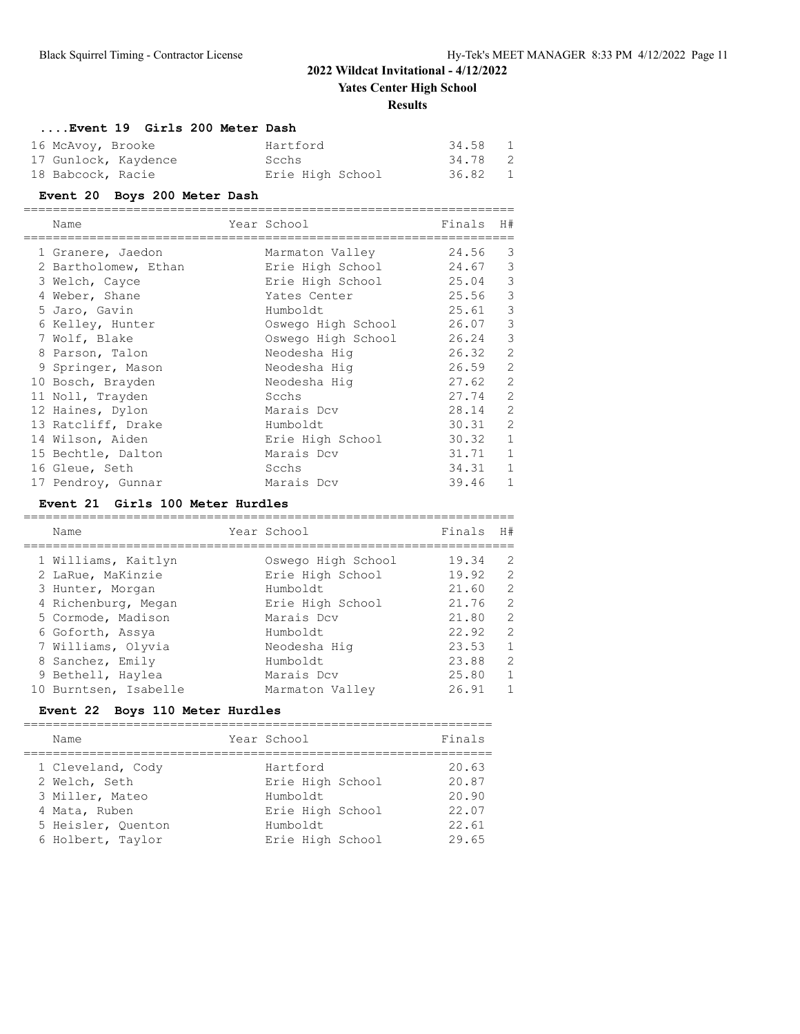**Results**

### **....Event 19 Girls 200 Meter Dash**

| 16 McAvoy, Brooke    | Hartford         | 34.58 | $\overline{1}$             |
|----------------------|------------------|-------|----------------------------|
| 17 Gunlock, Kaydence | Scchs            | 34.78 | $\overline{\phantom{0}}^2$ |
| 18 Babcock, Racie    | Erie High School | 36.82 | $\overline{\phantom{0}}$   |

#### **Event 20 Boys 200 Meter Dash**

| Name                 | Year School        | Finals | H#             |
|----------------------|--------------------|--------|----------------|
| 1 Granere, Jaedon    | Marmaton Valley    | 24.56  | 3              |
| 2 Bartholomew, Ethan | Erie High School   | 24.67  | 3              |
| 3 Welch, Cayce       | Erie High School   | 25.04  | 3              |
| 4 Weber, Shane       | Yates Center       | 25.56  | 3              |
| 5 Jaro, Gavin        | Humboldt           | 25.61  | 3              |
| 6 Kelley, Hunter     | Oswego High School | 26.07  | 3              |
| 7 Wolf, Blake        | Oswego High School | 26.24  | 3              |
| 8 Parson, Talon      | Neodesha Hiq       | 26.32  | $\overline{2}$ |
| 9 Springer, Mason    | Neodesha Hiq       | 26.59  | $\overline{2}$ |
| 10 Bosch, Brayden    | Neodesha Hiq       | 27.62  | $\overline{2}$ |
| 11 Noll, Trayden     | Scchs              | 27.74  | $\overline{2}$ |
| 12 Haines, Dylon     | Marais Dcv         | 28.14  | $\overline{2}$ |
| 13 Ratcliff, Drake   | Humboldt           | 30.31  | $\overline{2}$ |
| 14 Wilson, Aiden     | Erie High School   | 30.32  | $\mathbf{1}$   |
| 15 Bechtle, Dalton   | Marais Dcv         | 31.71  | $\mathbf{1}$   |
| 16 Gleue, Seth       | Scchs              | 34.31  | $\mathbf{1}$   |
| 17 Pendroy, Gunnar   | Marais Dcv         | 39.46  | $\mathbf{1}$   |

#### **Event 21 Girls 100 Meter Hurdles**

|  | Name                  | Year School        | Finals | H#           |
|--|-----------------------|--------------------|--------|--------------|
|  | 1 Williams, Kaitlyn   | Oswego High School | 19.34  | 2            |
|  | 2 LaRue, MaKinzie     | Erie High School   | 19.92  | 2            |
|  | 3 Hunter, Morgan      | Humboldt           | 21.60  | 2            |
|  | 4 Richenburg, Megan   | Erie High School   | 21.76  | 2            |
|  | 5 Cormode, Madison    | Marais Dcv         | 21.80  | 2            |
|  | 6 Goforth, Assya      | Humboldt.          | 22.92  | 2            |
|  | 7 Williams, Olyvia    | Neodesha Hiq       | 23.53  | 1            |
|  | 8 Sanchez, Emily      | Humboldt           | 23.88  | 2            |
|  | 9 Bethell, Haylea     | Marais Dcv         | 25.80  | $\mathbf{1}$ |
|  | 10 Burntsen, Isabelle | Marmaton Valley    | 26.91  |              |
|  |                       |                    |        |              |

### **Event 22 Boys 110 Meter Hurdles**

| Name               | Year School      | Finals |
|--------------------|------------------|--------|
| 1 Cleveland, Cody  | Hartford         | 20.63  |
| 2 Welch, Seth      | Erie High School | 20.87  |
| 3 Miller, Mateo    | Humboldt         | 20.90  |
| 4 Mata, Ruben      | Erie High School | 22.07  |
| 5 Heisler, Quenton | Humboldt         | 22.61  |
| 6 Holbert, Taylor  | Erie High School | 29.65  |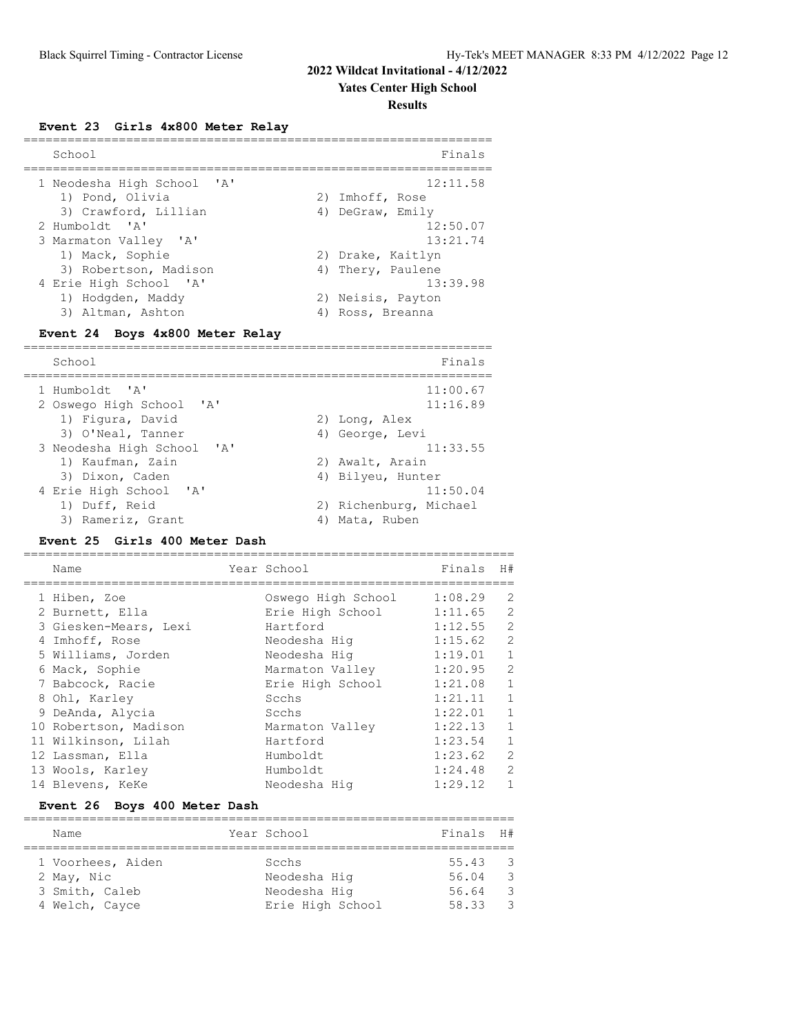#### **Yates Center High School**

#### **Results**

**Event 23 Girls 4x800 Meter Relay**

| School                     | Finals            |
|----------------------------|-------------------|
| 1 Neodesha High School 'A' | 12:11.58          |
| 1) Pond, Olivia            | 2) Imhoff, Rose   |
| 3) Crawford, Lillian       | 4) DeGraw, Emily  |
| 2 Humboldt. 'A'            | 12:50.07          |
| 3 Marmaton Valley 'A'      | 13:21.74          |
| 1) Mack, Sophie            | 2) Drake, Kaitlyn |
| 3) Robertson, Madison      | 4) Thery, Paulene |
| 4 Erie High School 'A'     | 13:39.98          |
| 1) Hodgden, Maddy          | 2) Neisis, Payton |
| 3) Altman, Ashton          | 4) Ross, Breanna  |

#### **Event 24 Boys 4x800 Meter Relay**

| School                                                                    | Finals                      |
|---------------------------------------------------------------------------|-----------------------------|
| 1 Humboldt. 'A'<br>2 Oswego High School<br>$\mathsf{I} \wedge \mathsf{I}$ | 11:00.67<br>11:16.89        |
| 1) Figura, David                                                          | 2) Long, Alex               |
| 3) O'Neal, Tanner<br>3 Neodesha High School 'A'                           | 4) George, Levi<br>11:33.55 |
| 1) Kaufman, Zain                                                          | 2) Awalt, Arain             |
| 3) Dixon, Caden                                                           | 4) Bilyeu, Hunter           |
| 4 Erie High School 'A'                                                    | 11:50.04                    |
| 1) Duff, Reid                                                             | 2) Richenburg, Michael      |
| 3) Rameriz, Grant                                                         | Mata, Ruben                 |

#### **Event 25 Girls 400 Meter Dash**

=================================================================== Name  $Year School$  Finals H# =================================================================== 1 Hiben, Zoe Oswego High School 1:08.29 2 2 Burnett, Ella Erie High School 1:11.65 2 3 Giesken-Mears, Lexi Hartford 1:12.55 2 4 Imhoff, Rose Neodesha Hig 1:15.62 2 5 Williams, Jorden Neodesha Hig 1:19.01 1 6 Mack, Sophie Marmaton Valley 1:20.95 2 7 Babcock, Racie Erie High School 1:21.08 1 8 Ohl, Karley Scchs 1:21.11 1 9 DeAnda, Alycia Scchs 1:22.01 1 10 Robertson, Madison Marmaton Valley 1:22.13 1 11 Wilkinson, Lilah Hartford 1:23.54 1 12 Lassman, Ella Humboldt 1:23.62 2 13 Wools, Karley Humboldt 1:24.48 2 14 Blevens, KeKe Neodesha Hig 1:29.12 1

#### **Event 26 Boys 400 Meter Dash**

| Name                             |  | Year School                      | Finals H#      |                                                    |  |  |  |  |
|----------------------------------|--|----------------------------------|----------------|----------------------------------------------------|--|--|--|--|
| 1 Voorhees, Aiden<br>2 May, Nic  |  | Scchs<br>Neodesha Hig            | 55.43<br>56.04 | - 3<br>- 3                                         |  |  |  |  |
| 3 Smith, Caleb<br>4 Welch, Cayce |  | Neodesha Hig<br>Erie High School | 56.64<br>58.33 | $\overline{\mathbf{3}}$<br>$\overline{\mathbf{3}}$ |  |  |  |  |
|                                  |  |                                  |                |                                                    |  |  |  |  |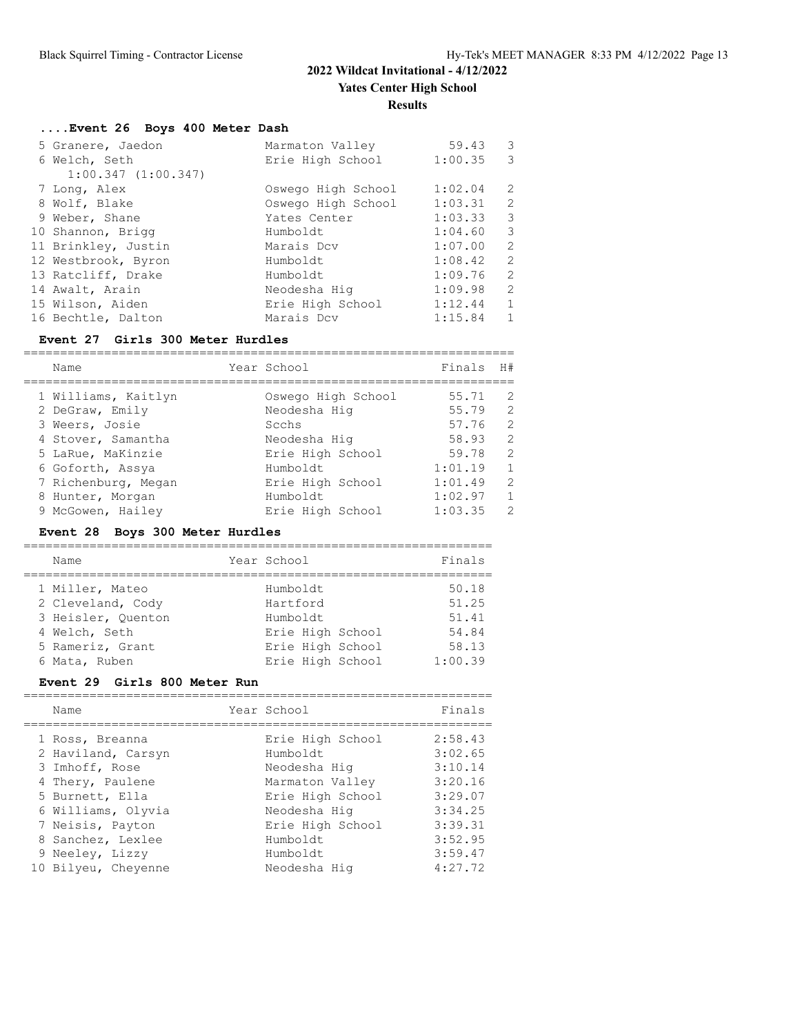### **....Event 26 Boys 400 Meter Dash**

| 5 Granere, Jaedon   | Marmaton Valley    | 59.43   | $\overline{\mathbf{3}}$  |
|---------------------|--------------------|---------|--------------------------|
| 6 Welch, Seth       | Erie High School   | 1:00.35 | $\overline{\phantom{a}}$ |
| 1:00.347(1:00.347)  |                    |         |                          |
| 7 Long, Alex        | Oswego High School | 1:02.04 | 2                        |
| 8 Wolf, Blake       | Oswego High School | 1:03.31 | 2                        |
| 9 Weber, Shane      | Yates Center       | 1:03.33 | 3                        |
| 10 Shannon, Brigg   | Humboldt           | 1:04.60 | 3                        |
| 11 Brinkley, Justin | Marais Dcv         | 1:07.00 | 2                        |
| 12 Westbrook, Byron | Humboldt           | 1:08.42 | 2                        |
| 13 Ratcliff, Drake  | Humboldt           | 1:09.76 | 2                        |
| 14 Awalt, Arain     | Neodesha Hig       | 1:09.98 | 2                        |
| 15 Wilson, Aiden    | Erie High School   | 1:12.44 | $\mathbf{1}$             |
| 16 Bechtle, Dalton  | Marais Dcv         | 1:15.84 | $\mathbf{1}$             |

#### **Event 27 Girls 300 Meter Hurdles**

| Name                | Year School        | Finals  | H#            |
|---------------------|--------------------|---------|---------------|
|                     |                    |         |               |
| 1 Williams, Kaitlyn | Oswego High School | 55.71   | $\mathcal{L}$ |
| 2 DeGraw, Emily     | Neodesha Hig       | 55.79   | $\mathcal{L}$ |
| 3 Weers, Josie      | Scchs              | 57.76   | 2             |
| 4 Stover, Samantha  | Neodesha Hiq       | 58.93   | $\mathcal{L}$ |
| 5 LaRue, MaKinzie   | Erie High School   | 59.78   | $\mathcal{L}$ |
| 6 Goforth, Assya    | Humboldt           | 1:01.19 | $\mathbf{1}$  |
| 7 Richenburg, Megan | Erie High School   | 1:01.49 | $\mathcal{L}$ |
| 8 Hunter, Morgan    | Humboldt           | 1:02.97 | $\mathbf{1}$  |
| 9 McGowen, Hailey   | Erie High School   | 1:03.35 | $\mathcal{P}$ |

### **Event 28 Boys 300 Meter Hurdles**

| Name                                                       | Year School                      | Finals                  |
|------------------------------------------------------------|----------------------------------|-------------------------|
| 1 Miller, Mateo<br>2 Cleveland, Cody<br>3 Heisler, Ouenton | Humboldt<br>Hartford<br>Humboldt | 50.18<br>51.25<br>51.41 |
| 4 Welch, Seth                                              | Erie High School                 | 54.84                   |
| 5 Rameriz, Grant                                           | Erie High School                 | 58.13                   |
| 6 Mata, Ruben                                              | Erie High School                 | 1:00.39                 |

#### **Event 29 Girls 800 Meter Run**

| Name                                 | Year School                  | Finals             |
|--------------------------------------|------------------------------|--------------------|
| 1 Ross, Breanna                      | Erie High School<br>Humboldt | 2:58.43<br>3:02.65 |
| 2 Haviland, Carsyn<br>3 Imhoff, Rose | Neodesha Hig                 | 3:10.14            |
| 4 Thery, Paulene                     | Marmaton Valley              | 3:20.16            |
| 5 Burnett, Ella                      | Erie High School             | 3:29.07            |
| 6 Williams, Olyvia                   | Neodesha Hiq                 | 3:34.25            |
| 7 Neisis, Payton                     | Erie High School             | 3:39.31            |
| 8 Sanchez, Lexlee                    | Humboldt                     | 3:52.95            |
| 9 Neeley, Lizzy                      | Humboldt                     | 3:59.47            |
| 10 Bilyeu, Chevenne                  | Neodesha Hiq                 | 4:27.72            |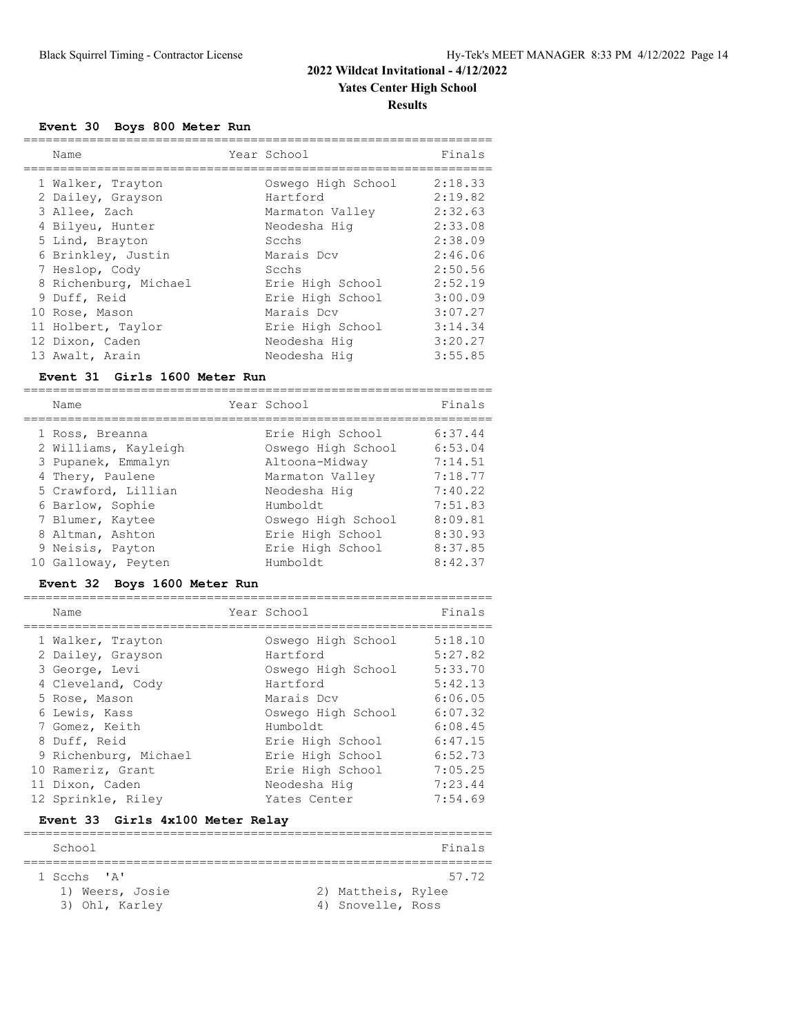### **Event 30 Boys 800 Meter Run**

| Name                  | Year School        | Finals  |
|-----------------------|--------------------|---------|
| 1 Walker, Trayton     | Oswego High School | 2:18.33 |
|                       |                    |         |
| 2 Dailey, Grayson     | Hartford           | 2:19.82 |
| 3 Allee, Zach         | Marmaton Valley    | 2:32.63 |
| 4 Bilyeu, Hunter      | Neodesha Hiq       | 2:33.08 |
| 5 Lind, Brayton       | Scchs              | 2:38.09 |
| 6 Brinkley, Justin    | Marais Dcv         | 2:46.06 |
| 7 Heslop, Cody        | Scchs              | 2:50.56 |
| 8 Richenburg, Michael | Erie High School   | 2:52.19 |
| 9 Duff, Reid          | Erie High School   | 3:00.09 |
| 10 Rose, Mason        | Marais Dcv         | 3:07.27 |
| 11 Holbert, Taylor    | Erie High School   | 3:14.34 |
| 12 Dixon, Caden       | Neodesha Hiq       | 3:20.27 |
| 13 Awalt, Arain       | Neodesha Hig       | 3:55.85 |

#### **Event 31 Girls 1600 Meter Run**

|  | Name                 | Year School        | Finals  |
|--|----------------------|--------------------|---------|
|  | 1 Ross, Breanna      | Erie High School   | 6:37.44 |
|  | 2 Williams, Kayleigh | Oswego High School | 6:53.04 |
|  | 3 Pupanek, Emmalyn   | Altoona-Midway     | 7:14.51 |
|  | 4 Thery, Paulene     | Marmaton Valley    | 7:18.77 |
|  | 5 Crawford, Lillian  | Neodesha Hiq       | 7:40.22 |
|  | 6 Barlow, Sophie     | Humboldt           | 7:51.83 |
|  | 7 Blumer, Kaytee     | Oswego High School | 8:09.81 |
|  | 8 Altman, Ashton     | Erie High School   | 8:30.93 |
|  | 9 Neisis, Payton     | Erie High School   | 8:37.85 |
|  | 10 Galloway, Peyten  | Humboldt           | 8:42.37 |
|  |                      |                    |         |

#### **Event 32 Boys 1600 Meter Run**

| Name                  | Year School        | Finals  |
|-----------------------|--------------------|---------|
|                       |                    |         |
| 1 Walker, Trayton     | Oswego High School | 5:18.10 |
| 2 Dailey, Grayson     | Hartford           | 5:27.82 |
| 3 George, Levi        | Oswego High School | 5:33.70 |
| 4 Cleveland, Cody     | Hartford           | 5:42.13 |
| 5 Rose, Mason         | Marais Dcv         | 6:06.05 |
| 6 Lewis, Kass         | Oswego High School | 6:07.32 |
| 7 Gomez, Keith        | Humboldt           | 6:08.45 |
| 8 Duff, Reid          | Erie High School   | 6:47.15 |
| 9 Richenburg, Michael | Erie High School   | 6:52.73 |
| 10 Rameriz, Grant     | Erie High School   | 7:05.25 |
| 11 Dixon, Caden       | Neodesha Hig       | 7:23.44 |
| 12 Sprinkle, Riley    | Yates Center       | 7:54.69 |

### **Event 33 Girls 4x100 Meter Relay**

| School          |                    | Finals |
|-----------------|--------------------|--------|
|                 |                    |        |
| 1 Scchs 'A'     |                    | 57.72  |
| 1) Weers, Josie | 2) Mattheis, Rylee |        |
| 3) Ohl, Karley  | 4) Snovelle, Ross  |        |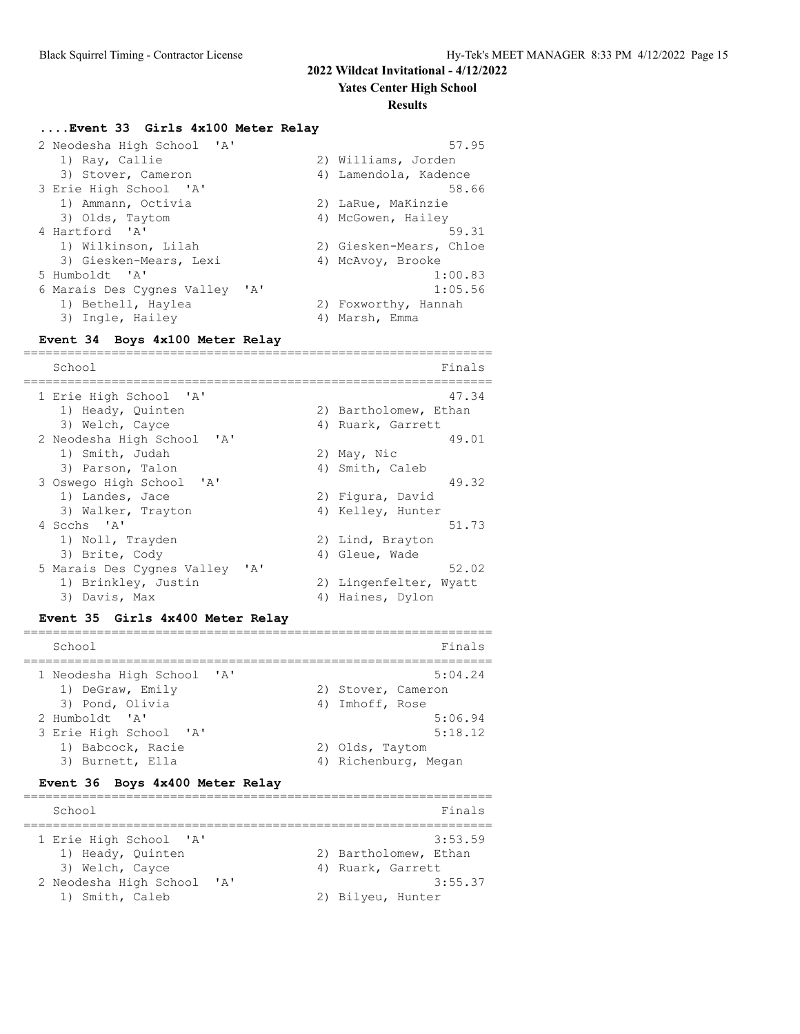**Yates Center High School**

#### **Results**

#### **....Event 33 Girls 4x100 Meter Relay**

| 2 Neodesha High School 'A'                 | 57.95                   |
|--------------------------------------------|-------------------------|
| 1) Ray, Callie                             | 2) Williams, Jorden     |
| 3) Stover, Cameron                         | 4) Lamendola, Kadence   |
| 3 Erie High School 'A'                     | 58.66                   |
| 1) Ammann, Octivia                         | 2) LaRue, MaKinzie      |
| 3) Olds, Taytom                            | 4) McGowen, Hailey      |
| 4 Hartford 'A'                             | 59.31                   |
| 1) Wilkinson, Lilah                        | 2) Giesken-Mears, Chloe |
| 3) Giesken-Mears, Lexi                     | 4) McAvoy, Brooke       |
| 5 Humboldt 'A'                             | 1:00.83                 |
| 6 Marais Des Cygnes Valley<br>$\mathsf{A}$ | 1:05.56                 |
| 1) Bethell, Haylea                         | 2) Foxworthy, Hannah    |
| 3) Ingle, Hailey<br>4)                     | Marsh, Emma             |

#### **Event 34 Boys 4x100 Meter Relay**

================================================================ School Finals ================================================================ 1 Erie High School 'A' 47.34 1) Heady, Quinten 2) Bartholomew, Ethan 3) Welch, Cayce 4) Ruark, Garrett 2 Neodesha High School 'A' 49.01 1) Smith, Judah 2) May, Nic 3) Parson, Talon 4) Smith, Caleb 3 Oswego High School 'A' 49.32 1) Landes, Jace 2) Figura, David 3) Walker, Trayton (4) Kelley, Hunter 4 Scchs 'A' 51.73 1) Noll, Trayden 2) Lind, Brayton<br>3) Brite, Cody (2) Gleue, Wade 3) Brite, Cody (4) Gleue, Wade 5 Marais Des Cygnes Valley 'A' 52.02 Marais Des Cygnes valley<br>1) Brinkley, Justin 2) Lingenfelter, Wyatt<br>1) Unines Bylen 3) Davis, Max 4) Haines, Dylon

#### **Event 35 Girls 4x400 Meter Relay**

| School                                                            | Finals                                           |
|-------------------------------------------------------------------|--------------------------------------------------|
| 1 Neodesha High School 'A'<br>1) DeGraw, Emily<br>3) Pond, Olivia | 5:04.24<br>2) Stover, Cameron<br>4) Imhoff, Rose |
| 2 Humboldt. 'A'                                                   | 5:06.94                                          |
| 3 Erie High School 'A'                                            | 5:18.12                                          |
| 1) Babcock, Racie                                                 | 2) Olds, Taytom                                  |
| 3) Burnett, Ella                                                  | 4) Richenburg, Megan                             |

#### **Event 36 Boys 4x400 Meter Relay**

| School                 |           |                       | Finals  |
|------------------------|-----------|-----------------------|---------|
| 1 Erie High School 'A' |           |                       | 3:53.59 |
| 1) Heady, Quinten      |           | 2) Bartholomew, Ethan |         |
| 3) Welch, Cayce        |           | 4) Ruark, Garrett     |         |
| 2 Neodesha High School | <b>TA</b> |                       | 3:55.37 |
| 1) Smith, Caleb        |           | 2) Bilyeu, Hunter     |         |